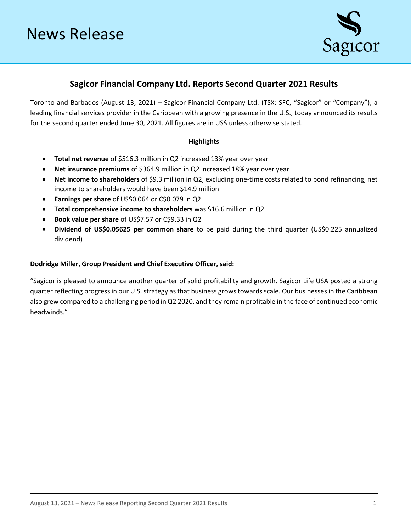

# **Sagicor Financial Company Ltd. Reports Second Quarter 2021 Results**

Toronto and Barbados (August 13, 2021) – Sagicor Financial Company Ltd. (TSX: SFC, "Sagicor" or "Company"), a leading financial services provider in the Caribbean with a growing presence in the U.S., today announced its results for the second quarter ended June 30, 2021. All figures are in US\$ unless otherwise stated.

# **Highlights**

- **Total net revenue** of \$516.3 million in Q2 increased 13% year over year
- **Net insurance premiums** of \$364.9 million in Q2 increased 18% year over year
- **Net income to shareholders** of \$9.3 million in Q2, excluding one-time costs related to bond refinancing, net income to shareholders would have been \$14.9 million
- **Earnings per share** of US\$0.064 or C\$0.079 in Q2
- **Total comprehensive income to shareholders** was \$16.6 million in Q2
- **Book value per share** of US\$7.57 or C\$9.33 in Q2
- **Dividend of US\$0.05625 per common share** to be paid during the third quarter (US\$0.225 annualized dividend)

## **Dodridge Miller, Group President and Chief Executive Officer, said:**

"Sagicor is pleased to announce another quarter of solid profitability and growth. Sagicor Life USA posted a strong quarter reflecting progress in our U.S. strategy as that business grows towards scale. Our businesses in the Caribbean also grew compared to a challenging period in Q2 2020, and they remain profitable in the face of continued economic headwinds."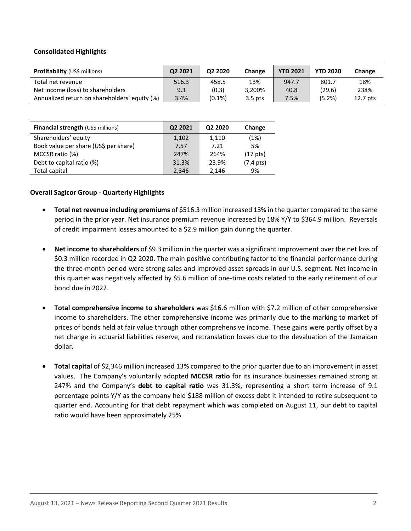## **Consolidated Highlights**

| <b>Profitability</b> (US\$ millions)          | Q2 2021 | Q <sub>2</sub> 2020 | Change    | <b>YTD 2021</b> | <b>YTD 2020</b> | Change   |
|-----------------------------------------------|---------|---------------------|-----------|-----------------|-----------------|----------|
| Total net revenue                             | 516.3   | 458.5               | 13%       | 947.7           | 801.7           | 18%      |
| Net income (loss) to shareholders             | 9.3     | (0.3)               | 3,200%    | 40.8            | (29.6)          | 238%     |
| Annualized return on shareholders' equity (%) | 3.4%    | $(0.1\%)$           | $3.5$ pts | 7.5%            | (5.2%)          | 12.7 pts |

| Financial strength (US\$ millions)    | Q2 2021 | Q2 2020 | Change               |
|---------------------------------------|---------|---------|----------------------|
| Shareholders' equity                  | 1,102   | 1,110   | (1%)                 |
| Book value per share (US\$ per share) | 7.57    | 7.21    | 5%                   |
| MCCSR ratio (%)                       | 247%    | 264%    | (17 <sub>pts</sub> ) |
| Debt to capital ratio (%)             | 31.3%   | 23.9%   | $(7.4 \text{ pts})$  |
| Total capital                         | 2,346   | 2,146   | 9%                   |

## **Overall Sagicor Group - Quarterly Highlights**

- **Total net revenue including premiums** of \$516.3 million increased 13% in the quarter compared to the same period in the prior year. Net insurance premium revenue increased by 18% Y/Y to \$364.9 million. Reversals of credit impairment losses amounted to a \$2.9 million gain during the quarter.
- **Net income to shareholders** of \$9.3 million in the quarter was a significant improvement over the net loss of \$0.3 million recorded in Q2 2020. The main positive contributing factor to the financial performance during the three-month period were strong sales and improved asset spreads in our U.S. segment. Net income in this quarter was negatively affected by \$5.6 million of one-time costs related to the early retirement of our bond due in 2022.
- **Total comprehensive income to shareholders** was \$16.6 million with \$7.2 million of other comprehensive income to shareholders. The other comprehensive income was primarily due to the marking to market of prices of bonds held at fair value through other comprehensive income. These gains were partly offset by a net change in actuarial liabilities reserve, and retranslation losses due to the devaluation of the Jamaican dollar.
- **Total capital** of \$2,346 million increased 13% compared to the prior quarter due to an improvement in asset values. The Company's voluntarily adopted **MCCSR ratio** for its insurance businesses remained strong at 247% and the Company's **debt to capital ratio** was 31.3%, representing a short term increase of 9.1 percentage points Y/Y as the company held \$188 million of excess debt it intended to retire subsequent to quarter end. Accounting for that debt repayment which was completed on August 11, our debt to capital ratio would have been approximately 25%.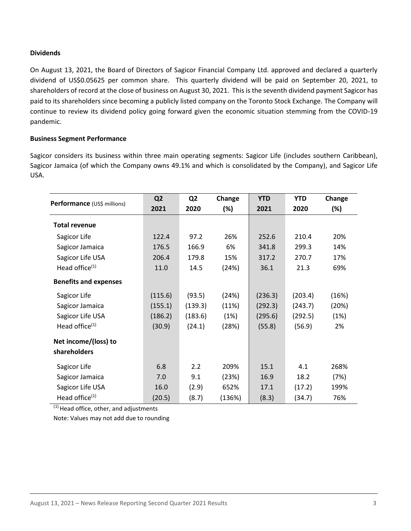## **Dividends**

On August 13, 2021, the Board of Directors of Sagicor Financial Company Ltd. approved and declared a quarterly dividend of US\$0.05625 per common share. This quarterly dividend will be paid on September 20, 2021, to shareholders of record at the close of business on August 30, 2021. This is the seventh dividend payment Sagicor has paid to its shareholders since becoming a publicly listed company on the Toronto Stock Exchange. The Company will continue to review its dividend policy going forward given the economic situation stemming from the COVID-19 pandemic.

## **Business Segment Performance**

Sagicor considers its business within three main operating segments: Sagicor Life (includes southern Caribbean), Sagicor Jamaica (of which the Company owns 49.1% and which is consolidated by the Company), and Sagicor Life USA.

| Performance (US\$ millions)  | Q <sub>2</sub> | Q <sub>2</sub> | Change | <b>YTD</b> | <b>YTD</b> | Change |
|------------------------------|----------------|----------------|--------|------------|------------|--------|
|                              | 2021           | 2020           | $(\%)$ | 2021       | 2020       | (%)    |
| <b>Total revenue</b>         |                |                |        |            |            |        |
| Sagicor Life                 | 122.4          | 97.2           | 26%    | 252.6      | 210.4      | 20%    |
| Sagicor Jamaica              | 176.5          | 166.9          | 6%     | 341.8      | 299.3      | 14%    |
| Sagicor Life USA             | 206.4          | 179.8          | 15%    | 317.2      | 270.7      | 17%    |
| Head office <sup>(1)</sup>   | 11.0           | 14.5           | (24%)  | 36.1       | 21.3       | 69%    |
| <b>Benefits and expenses</b> |                |                |        |            |            |        |
| Sagicor Life                 | (115.6)        | (93.5)         | (24%)  | (236.3)    | (203.4)    | (16%)  |
| Sagicor Jamaica              | (155.1)        | (139.3)        | (11%)  | (292.3)    | (243.7)    | (20%)  |
| Sagicor Life USA             | (186.2)        | (183.6)        | (1%)   | (295.6)    | (292.5)    | (1%)   |
| Head office <sup>(1)</sup>   | (30.9)         | (24.1)         | (28%)  | (55.8)     | (56.9)     | 2%     |
| Net income/(loss) to         |                |                |        |            |            |        |
| shareholders                 |                |                |        |            |            |        |
| Sagicor Life                 | 6.8            | 2.2            | 209%   | 15.1       | 4.1        | 268%   |
| Sagicor Jamaica              | 7.0            | 9.1            | (23%)  | 16.9       | 18.2       | (7%)   |
| Sagicor Life USA             | 16.0           | (2.9)          | 652%   | 17.1       | (17.2)     | 199%   |
| Head office $(1)$            | (20.5)         | (8.7)          | (136%) | (8.3)      | (34.7)     | 76%    |

 $(1)$  Head office, other, and adjustments

Note: Values may not add due to rounding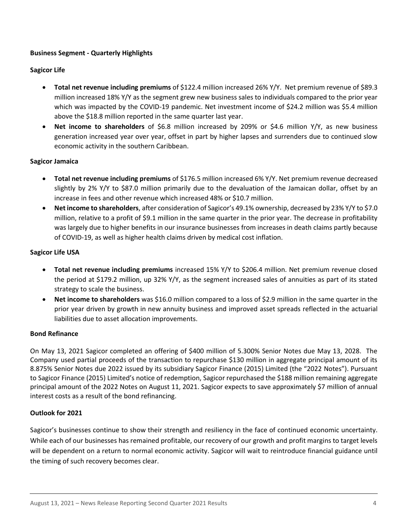# **Business Segment - Quarterly Highlights**

## **Sagicor Life**

- **Total net revenue including premiums** of \$122.4 million increased 26% Y/Y. Net premium revenue of \$89.3 million increased 18% Y/Y as the segment grew new business sales to individuals compared to the prior year which was impacted by the COVID-19 pandemic. Net investment income of \$24.2 million was \$5.4 million above the \$18.8 million reported in the same quarter last year.
- **Net income to shareholders** of \$6.8 million increased by 209% or \$4.6 million Y/Y, as new business generation increased year over year, offset in part by higher lapses and surrenders due to continued slow economic activity in the southern Caribbean.

# **Sagicor Jamaica**

- **Total net revenue including premiums** of \$176.5 million increased 6% Y/Y. Net premium revenue decreased slightly by 2% Y/Y to \$87.0 million primarily due to the devaluation of the Jamaican dollar, offset by an increase in fees and other revenue which increased 48% or \$10.7 million.
- **Net income to shareholders**, after consideration of Sagicor's 49.1% ownership, decreased by 23% Y/Y to \$7.0 million, relative to a profit of \$9.1 million in the same quarter in the prior year. The decrease in profitability was largely due to higher benefits in our insurance businesses from increases in death claims partly because of COVID-19, as well as higher health claims driven by medical cost inflation.

# **Sagicor Life USA**

- **Total net revenue including premiums** increased 15% Y/Y to \$206.4 million. Net premium revenue closed the period at \$179.2 million, up 32% Y/Y, as the segment increased sales of annuities as part of its stated strategy to scale the business.
- **Net income to shareholders** was \$16.0 million compared to a loss of \$2.9 million in the same quarter in the prior year driven by growth in new annuity business and improved asset spreads reflected in the actuarial liabilities due to asset allocation improvements.

## **Bond Refinance**

On May 13, 2021 Sagicor completed an offering of \$400 million of 5.300% Senior Notes due May 13, 2028. The Company used partial proceeds of the transaction to repurchase \$130 million in aggregate principal amount of its 8.875% Senior Notes due 2022 issued by its subsidiary Sagicor Finance (2015) Limited (the "2022 Notes"). Pursuant to Sagicor Finance (2015) Limited's notice of redemption, Sagicor repurchased the \$188 million remaining aggregate principal amount of the 2022 Notes on August 11, 2021. Sagicor expects to save approximately \$7 million of annual interest costs as a result of the bond refinancing.

## **Outlook for 2021**

Sagicor's businesses continue to show their strength and resiliency in the face of continued economic uncertainty. While each of our businesses has remained profitable, our recovery of our growth and profit margins to target levels will be dependent on a return to normal economic activity. Sagicor will wait to reintroduce financial guidance until the timing of such recovery becomes clear.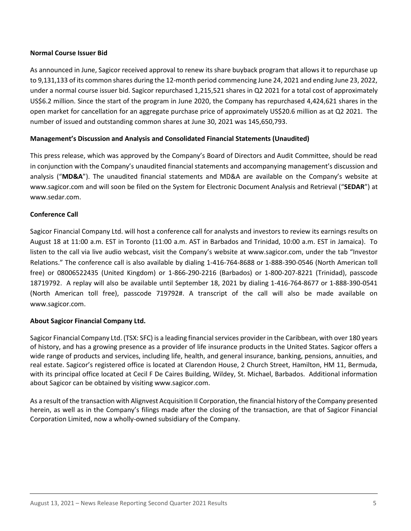## **Normal Course Issuer Bid**

As announced in June, Sagicor received approval to renew its share buyback program that allows it to repurchase up to 9,131,133 of its common shares during the 12-month period commencing June 24, 2021 and ending June 23, 2022, under a normal course issuer bid. Sagicor repurchased 1,215,521 shares in Q2 2021 for a total cost of approximately US\$6.2 million. Since the start of the program in June 2020, the Company has repurchased 4,424,621 shares in the open market for cancellation for an aggregate purchase price of approximately US\$20.6 million as at Q2 2021. The number of issued and outstanding common shares at June 30, 2021 was 145,650,793.

## **Management's Discussion and Analysis and Consolidated Financial Statements (Unaudited)**

This press release, which was approved by the Company's Board of Directors and Audit Committee, should be read in conjunction with the Company's unaudited financial statements and accompanying management's discussion and analysis ("**MD&A**"). The unaudited financial statements and MD&A are available on the Company's website at [www.sagicor.com](http://www.sagicor.com/) and will soon be filed on the System for Electronic Document Analysis and Retrieval ("**SEDAR**") at [www.sedar.com.](http://www.sedar.com/)

## **Conference Call**

Sagicor Financial Company Ltd. will host a conference call for analysts and investors to review its earnings results on August 18 at 11:00 a.m. EST in Toronto (11:00 a.m. AST in Barbados and Trinidad, 10:00 a.m. EST in Jamaica). To listen to the call via live audio webcast, visit the Company's website at [www.sagicor.com,](http://www.sagicor.com/) under the tab "Investor Relations." The conference call is also available by dialing 1-416-764-8688 or 1-888-390-0546 (North American toll free) or 08006522435 (United Kingdom) or 1-866-290-2216 (Barbados) or 1-800-207-8221 (Trinidad), passcode 18719792. A replay will also be available until September 18, 2021 by dialing 1-416-764-8677 or 1-888-390-0541 (North American toll free), passcode 719792#. A transcript of the call will also be made available on [www.sagicor.com.](http://www.sagicor.com/)

## **About Sagicor Financial Company Ltd.**

Sagicor Financial Company Ltd. (TSX: SFC) is a leading financial services provider in the Caribbean, with over 180 years of history, and has a growing presence as a provider of life insurance products in the United States. Sagicor offers a wide range of products and services, including life, health, and general insurance, banking, pensions, annuities, and real estate. Sagicor's registered office is located at Clarendon House, 2 Church Street, Hamilton, HM 11, Bermuda, with its principal office located at Cecil F De Caires Building, Wildey, St. Michael, Barbados. Additional information about Sagicor can be obtained by visiting [www.sagicor.com.](http://www.sagicor.com/)

As a result of the transaction with Alignvest Acquisition II Corporation, the financial history of the Company presented herein, as well as in the Company's filings made after the closing of the transaction, are that of Sagicor Financial Corporation Limited, now a wholly-owned subsidiary of the Company.